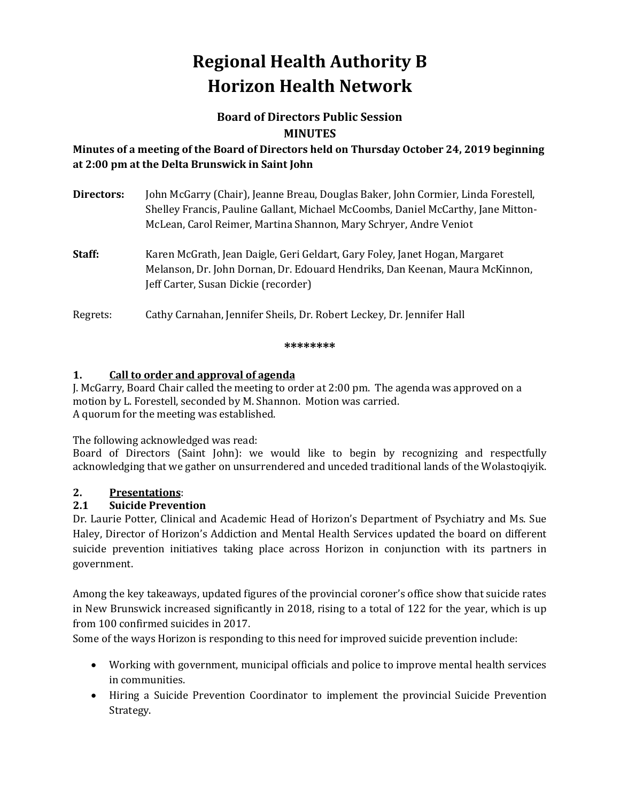# **Regional Health Authority B Horizon Health Network**

## **Board of Directors Public Session MINUTES**

## **Minutes of a meeting of the Board of Directors held on Thursday October 24, 2019 beginning at 2:00 pm at the Delta Brunswick in Saint John**

| Directors: | John McGarry (Chair), Jeanne Breau, Douglas Baker, John Cormier, Linda Forestell,<br>Shelley Francis, Pauline Gallant, Michael McCoombs, Daniel McCarthy, Jane Mitton-<br>McLean, Carol Reimer, Martina Shannon, Mary Schryer, Andre Veniot |
|------------|---------------------------------------------------------------------------------------------------------------------------------------------------------------------------------------------------------------------------------------------|
| Staff:     | Karen McGrath, Jean Daigle, Geri Geldart, Gary Foley, Janet Hogan, Margaret<br>Melanson, Dr. John Dornan, Dr. Edouard Hendriks, Dan Keenan, Maura McKinnon,<br>Jeff Carter, Susan Dickie (recorder)                                         |
| Regrets:   | Cathy Carnahan, Jennifer Sheils, Dr. Robert Leckey, Dr. Jennifer Hall                                                                                                                                                                       |

#### **\*\*\*\*\*\*\*\***

## **1. Call to order and approval of agenda**

J. McGarry, Board Chair called the meeting to order at 2:00 pm. The agenda was approved on a motion by L. Forestell, seconded by M. Shannon. Motion was carried. A quorum for the meeting was established.

The following acknowledged was read:

Board of Directors (Saint John): we would like to begin by recognizing and respectfully acknowledging that we gather on unsurrendered and unceded traditional lands of the Wolastoqiyik.

# **2. Presentations**:

## **2.1 Suicide Prevention**

Dr. Laurie Potter, Clinical and Academic Head of Horizon's Department of Psychiatry and Ms. Sue Haley, Director of Horizon's Addiction and Mental Health Services updated the board on different suicide prevention initiatives taking place across Horizon in conjunction with its partners in government.

Among the key takeaways, updated figures of the provincial coroner's office show that suicide rates in New Brunswick increased significantly in 2018, rising to a total of 122 for the year, which is up from 100 confirmed suicides in 2017.

Some of the ways Horizon is responding to this need for improved suicide prevention include:

- Working with government, municipal officials and police to improve mental health services in communities.
- Hiring a Suicide Prevention Coordinator to implement the provincial Suicide Prevention Strategy.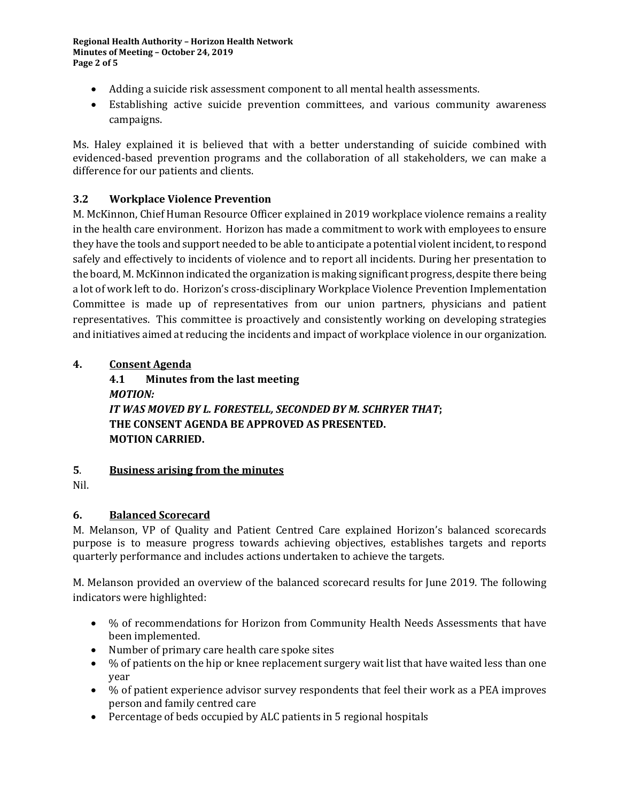**Regional Health Authority – Horizon Health Network Minutes of Meeting – October 24, 2019 Page 2 of 5**

- Adding a suicide risk assessment component to all mental health assessments.
- Establishing active suicide prevention committees, and various community awareness campaigns.

Ms. Haley explained it is believed that with a better understanding of suicide combined with evidenced-based prevention programs and the collaboration of all stakeholders, we can make a difference for our patients and clients.

### **3.2 Workplace Violence Prevention**

M. McKinnon, Chief Human Resource Officer explained in 2019 workplace violence remains a reality in the health care environment. Horizon has made a commitment to work with employees to ensure they have the tools and support needed to be able to anticipate a potential violent incident, to respond safely and effectively to incidents of violence and to report all incidents. During her presentation to the board, M. McKinnon indicated the organization is making significant progress, despite there being a lot of work left to do. Horizon's cross-disciplinary Workplace Violence Prevention Implementation Committee is made up of representatives from our union partners, physicians and patient representatives. This committee is proactively and consistently working on developing strategies and initiatives aimed at reducing the incidents and impact of workplace violence in our organization.

#### **4. Consent Agenda**

**4.1 Minutes from the last meeting**  *MOTION: IT WAS MOVED BY L. FORESTELL, SECONDED BY M. SCHRYER THAT***; THE CONSENT AGENDA BE APPROVED AS PRESENTED. MOTION CARRIED.** 

#### **5**. **Business arising from the minutes**

Nil.

#### **6. Balanced Scorecard**

M. Melanson, VP of Quality and Patient Centred Care explained Horizon's balanced scorecards purpose is to measure progress towards achieving objectives, establishes targets and reports quarterly performance and includes actions undertaken to achieve the targets.

M. Melanson provided an overview of the balanced scorecard results for June 2019. The following indicators were highlighted:

- % of recommendations for Horizon from Community Health Needs Assessments that have been implemented.
- Number of primary care health care spoke sites
- % of patients on the hip or knee replacement surgery wait list that have waited less than one year
- % of patient experience advisor survey respondents that feel their work as a PEA improves person and family centred care
- Percentage of beds occupied by ALC patients in 5 regional hospitals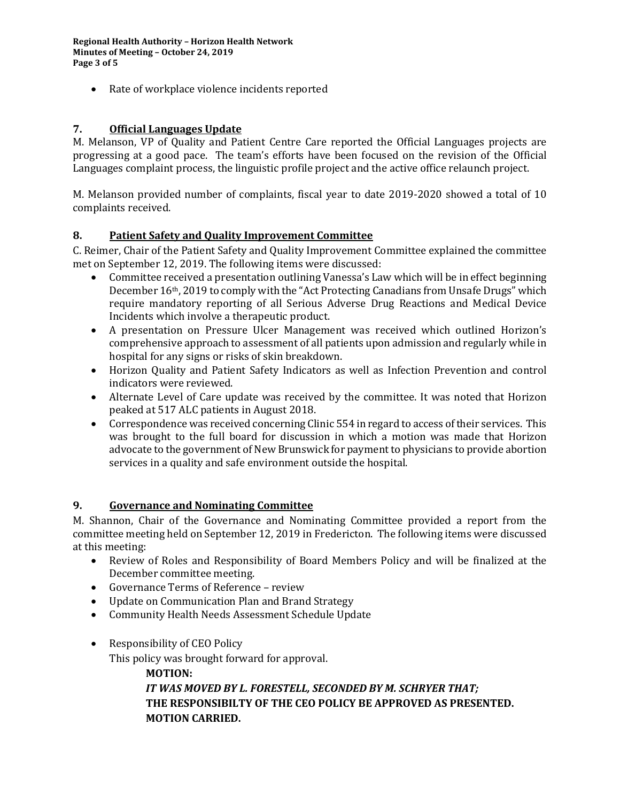**Regional Health Authority – Horizon Health Network Minutes of Meeting – October 24, 2019 Page 3 of 5**

• Rate of workplace violence incidents reported

### **7. Official Languages Update**

M. Melanson, VP of Quality and Patient Centre Care reported the Official Languages projects are progressing at a good pace. The team's efforts have been focused on the revision of the Official Languages complaint process, the linguistic profile project and the active office relaunch project.

M. Melanson provided number of complaints, fiscal year to date 2019-2020 showed a total of 10 complaints received.

#### **8. Patient Safety and Quality Improvement Committee**

C. Reimer, Chair of the Patient Safety and Quality Improvement Committee explained the committee met on September 12, 2019. The following items were discussed:

- Committee received a presentation outlining Vanessa's Law which will be in effect beginning December 16th, 2019 to comply with the "Act Protecting Canadians from Unsafe Drugs" which require mandatory reporting of all Serious Adverse Drug Reactions and Medical Device Incidents which involve a therapeutic product.
- A presentation on Pressure Ulcer Management was received which outlined Horizon's comprehensive approach to assessment of all patients upon admission and regularly while in hospital for any signs or risks of skin breakdown.
- Horizon Quality and Patient Safety Indicators as well as Infection Prevention and control indicators were reviewed.
- Alternate Level of Care update was received by the committee. It was noted that Horizon peaked at 517 ALC patients in August 2018.
- Correspondence was received concerning Clinic 554 in regard to access of their services. This was brought to the full board for discussion in which a motion was made that Horizon advocate to the government of New Brunswick for payment to physicians to provide abortion services in a quality and safe environment outside the hospital.

#### **9. Governance and Nominating Committee**

M. Shannon, Chair of the Governance and Nominating Committee provided a report from the committee meeting held on September 12, 2019 in Fredericton. The following items were discussed at this meeting:

- Review of Roles and Responsibility of Board Members Policy and will be finalized at the December committee meeting.
- Governance Terms of Reference review
- Update on Communication Plan and Brand Strategy
- Community Health Needs Assessment Schedule Update
- Responsibility of CEO Policy

This policy was brought forward for approval.

**MOTION:**

*IT WAS MOVED BY L. FORESTELL, SECONDED BY M. SCHRYER THAT;*  **THE RESPONSIBILTY OF THE CEO POLICY BE APPROVED AS PRESENTED. MOTION CARRIED.**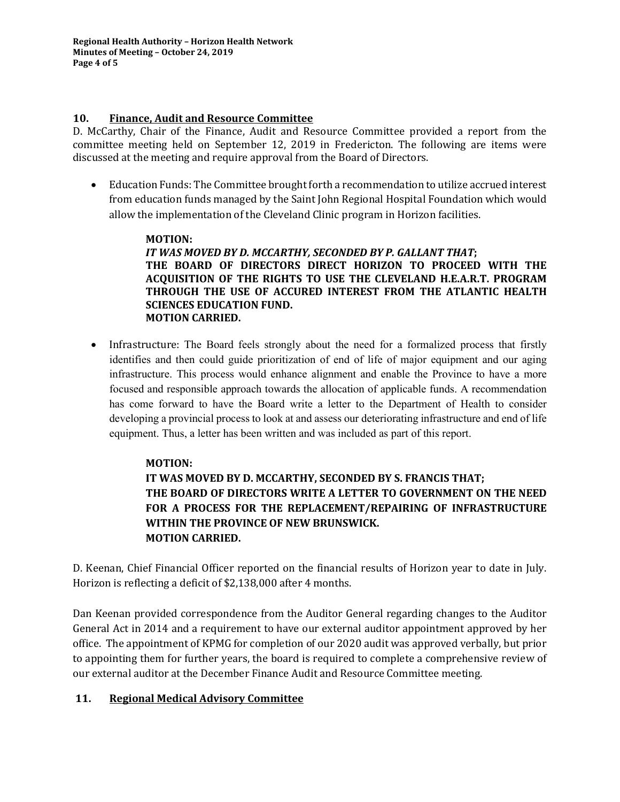**Regional Health Authority – Horizon Health Network Minutes of Meeting – October 24, 2019 Page 4 of 5**

#### **10. Finance, Audit and Resource Committee**

D. McCarthy, Chair of the Finance, Audit and Resource Committee provided a report from the committee meeting held on September 12, 2019 in Fredericton. The following are items were discussed at the meeting and require approval from the Board of Directors.

• Education Funds: The Committee brought forth a recommendation to utilize accrued interest from education funds managed by the Saint John Regional Hospital Foundation which would allow the implementation of the Cleveland Clinic program in Horizon facilities.

### **MOTION:**

*IT WAS MOVED BY D. MCCARTHY, SECONDED BY P. GALLANT THAT***; THE BOARD OF DIRECTORS DIRECT HORIZON TO PROCEED WITH THE ACQUISITION OF THE RIGHTS TO USE THE CLEVELAND H.E.A.R.T. PROGRAM THROUGH THE USE OF ACCURED INTEREST FROM THE ATLANTIC HEALTH SCIENCES EDUCATION FUND. MOTION CARRIED.** 

• Infrastructure: The Board feels strongly about the need for a formalized process that firstly identifies and then could guide prioritization of end of life of major equipment and our aging infrastructure. This process would enhance alignment and enable the Province to have a more focused and responsible approach towards the allocation of applicable funds. A recommendation has come forward to have the Board write a letter to the Department of Health to consider developing a provincial process to look at and assess our deteriorating infrastructure and end of life equipment. Thus, a letter has been written and was included as part of this report.

#### **MOTION:**

## **IT WAS MOVED BY D. MCCARTHY, SECONDED BY S. FRANCIS THAT; THE BOARD OF DIRECTORS WRITE A LETTER TO GOVERNMENT ON THE NEED FOR A PROCESS FOR THE REPLACEMENT/REPAIRING OF INFRASTRUCTURE WITHIN THE PROVINCE OF NEW BRUNSWICK. MOTION CARRIED.**

D. Keenan, Chief Financial Officer reported on the financial results of Horizon year to date in July. Horizon is reflecting a deficit of \$2,138,000 after 4 months.

Dan Keenan provided correspondence from the Auditor General regarding changes to the Auditor General Act in 2014 and a requirement to have our external auditor appointment approved by her office. The appointment of KPMG for completion of our 2020 audit was approved verbally, but prior to appointing them for further years, the board is required to complete a comprehensive review of our external auditor at the December Finance Audit and Resource Committee meeting.

## **11. Regional Medical Advisory Committee**